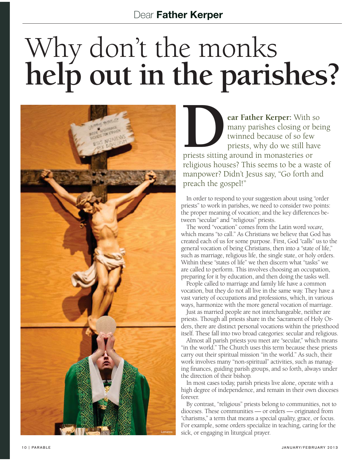## Why don't the monks **help out in the parishes?**



**DEAR COMPLEMENT CONTROLLED SET CONTROLLED SURFERENCE SURFERENCE SURFERENCE SURFERENCE SURFERENCE SURFERENCE SURFERENCE SURFERENCE SURFERENCE SURFERENCE SURFERENCE SURFERENCE SURFERENCE SURFERENCE SURFERENCE SURFERENCE SUR** many parishes closing or being twinned because of so few priests, why do we still have priests sitting around in monasteries or religious houses? This seems to be a waste of manpower? Didn't Jesus say, "Go forth and preach the gospel!"

In order to respond to your suggestion about using "order priests" to work in parishes, we need to consider two points: the proper meaning of vocation; and the key differences between "secular" and "religious" priests.

The word "vocation" comes from the Latin word *vocare,*  which means "to call." As Christians we believe that God has created each of us for some purpose. First, God "calls" us to the general vocation of being Christians, then into a "state of life," such as marriage, religious life, the single state, or holy orders. Within these "states of life" we then discern what "tasks" we are called to perform. This involves choosing an occupation, preparing for it by education, and then doing the tasks well.

People called to marriage and family life have a common vocation, but they do not all live in the same way. They have a vast variety of occupations and professions, which, in various ways, harmonize with the more general vocation of marriage.

Just as married people are not interchangeable, neither are priests. Though all priests share in the Sacrament of Holy Orders, there are distinct personal vocations within the priesthood itself. These fall into two broad categories: secular and religious.

Almost all parish priests you meet are "secular," which means "in the world." The Church uses this term because these priests carry out their spiritual mission "in the world." As such, their work involves many "non-spiritual" activities, such as managing finances, guiding parish groups, and so forth, always under the direction of their bishop.

In most cases today, parish priests live alone, operate with a high degree of independence, and remain in their own dioceses forever.

By contrast, "religious" priests belong to communities, not to dioceses. These communities — or orders — originated from "charisms," a term that means a special quality, grace, or focus. For example, some orders specialize in teaching, caring for the sick, or engaging in liturgical prayer.